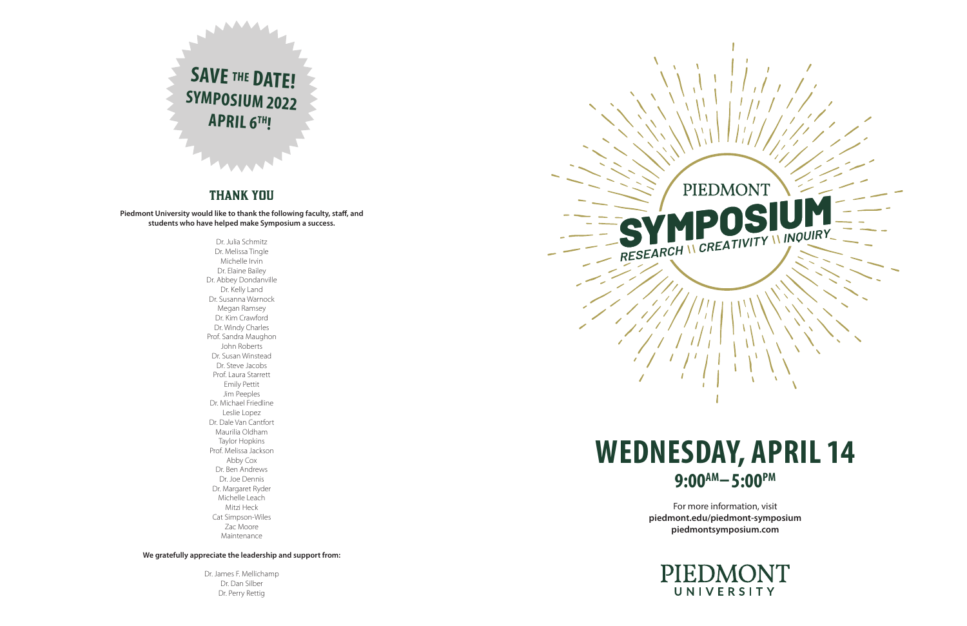For more information, visit **piedmont.edu/piedmont-symposium piedmontsymposium.com**





# THANK YOU

**Piedmont University would like to thank the following faculty, staff, and students who have helped make Symposium a success.**

> Dr. Julia Schmitz Dr. Melissa Tingle Michelle Irvin Dr. Elaine Bailey Dr. Abbey Dondanville Dr. Kelly Land Dr. Susanna Warnock Megan Ramsey Dr. Kim Crawford Dr. Windy Charles Prof. Sandra Maughon John Roberts Dr. Susan Winstead Dr. Steve Jacobs Prof. Laura Starrett Emily Pettit Jim Peeples Dr. Michael Friedline Leslie Lopez Dr. Dale Van Cantfort Maurilia Oldham Taylor Hopkins Prof. Melissa Jackson Abby Cox Dr. Ben Andrews Dr. Joe Dennis Dr. Margaret Ryder Michelle Leach Mitzi Heck Cat Simpson-Wiles Zac Moore Maintenance

**We gratefully appreciate the leadership and support from:**

Dr. James F. Mellichamp Dr. Dan Silber Dr. Perry Rettig



# **WEDNESDAY, APRIL 14** 9:00<sup>AM</sup>-5:00<sup>PM</sup>

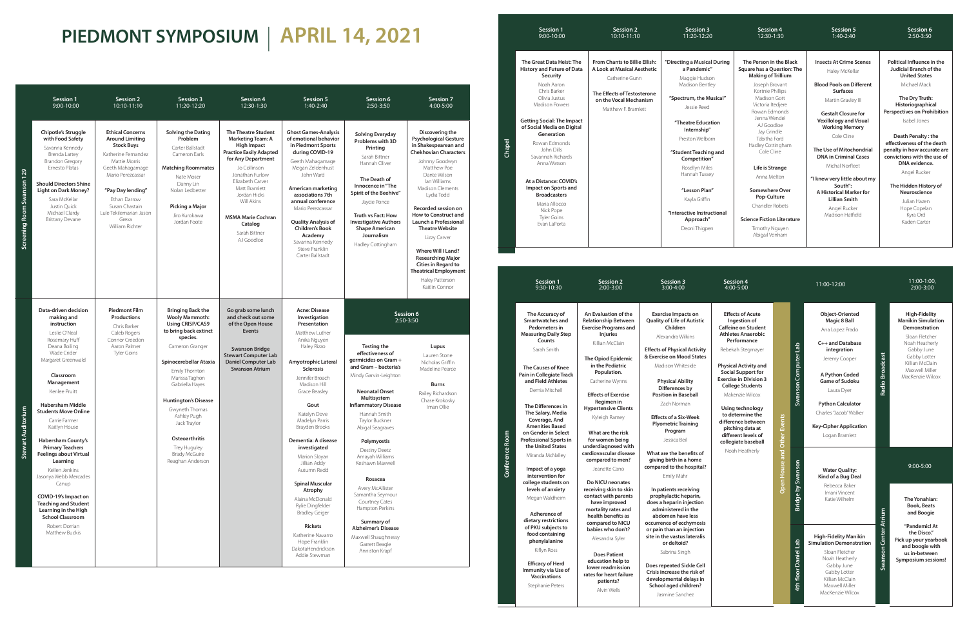|                             | <b>Session 1</b><br>9:00-10:00                                                                                                                                                                                                                                                                                                                                                                                                                                                                                                                                                            | <b>Session 2</b><br>10:10-11:10                                                                                                                                                                                                                                       | <b>Session 3</b><br>11:20-12:20                                                                                                                                                                                                                                                                                                                                                     | <b>Session 4</b><br>12:30-1:30                                                                                                                                                                                                                                                                                    | <b>Session 5</b><br>1:40-2:40                                                                                                                                                                                                                                                                                                                                                                                                                                                                                                                               | Session 6<br>2:50-3:50                                                                                                                                                                                                                                                                                                                                                                                                                                                                                                                              | <b>Session 7</b><br>4:00-5:00                                                                                                                                                                                                                                                                                                                                                                                                                                                                   |
|-----------------------------|-------------------------------------------------------------------------------------------------------------------------------------------------------------------------------------------------------------------------------------------------------------------------------------------------------------------------------------------------------------------------------------------------------------------------------------------------------------------------------------------------------------------------------------------------------------------------------------------|-----------------------------------------------------------------------------------------------------------------------------------------------------------------------------------------------------------------------------------------------------------------------|-------------------------------------------------------------------------------------------------------------------------------------------------------------------------------------------------------------------------------------------------------------------------------------------------------------------------------------------------------------------------------------|-------------------------------------------------------------------------------------------------------------------------------------------------------------------------------------------------------------------------------------------------------------------------------------------------------------------|-------------------------------------------------------------------------------------------------------------------------------------------------------------------------------------------------------------------------------------------------------------------------------------------------------------------------------------------------------------------------------------------------------------------------------------------------------------------------------------------------------------------------------------------------------------|-----------------------------------------------------------------------------------------------------------------------------------------------------------------------------------------------------------------------------------------------------------------------------------------------------------------------------------------------------------------------------------------------------------------------------------------------------------------------------------------------------------------------------------------------------|-------------------------------------------------------------------------------------------------------------------------------------------------------------------------------------------------------------------------------------------------------------------------------------------------------------------------------------------------------------------------------------------------------------------------------------------------------------------------------------------------|
| Screening Room Swanson 129  | Chipotle's Struggle<br>with Food Safety<br>Savanna Kennedy<br>Brenda Lartey<br><b>Brandon Gregory</b><br>Ernesto Platas<br><b>Should Directors Shine</b><br><b>Light on Dark Money?</b><br>Sara McKellar<br>Justin Quick<br>Michael Clardy<br><b>Brittany Devane</b>                                                                                                                                                                                                                                                                                                                      | <b>Ethical Concerns</b><br><b>Around Limiting</b><br><b>Stock Buys</b><br>Katherine Fernandez<br>Mattie Morris<br>Geeth Mahagamage<br>Mario Perezcassar<br>"Pay Day lending"<br>Ethan Darrow<br>Susan Chastain<br>Lule Tekilemarian Jason<br>Grexa<br>William Richter | <b>Solving the Dating</b><br>Problem<br>Carter Ballstadt<br>Cameron Earls<br><b>Matching Roommates</b><br>Nate Moser<br>Danny Lin<br>Nolan Ledbetter<br>Picking a Major<br>Jiro Kurokawa<br>Jordan Foote                                                                                                                                                                            | <b>The Theatre Student</b><br><b>Marketing Team: A</b><br><b>High Impact</b><br><b>Practice Easily Adapted</b><br>for Any Department<br>Jo Collinson<br>Jonathan Furlow<br>Elizabeth Carver<br>Matt Bramlett<br>Jordan Hicks<br>Will Akins<br><b>MSMA Marie Cochran</b><br>Catalog<br>Sarah Bittner<br>AJ Goodloe | <b>Ghost Games-Analysis</b><br>of emotional behavior<br>in Piedmont Sports<br>during COVID-19<br>Geeth Mahagamage<br>Megan Zeldenhust<br>John Ward<br>American marketing<br>associations 7th<br>annual conference<br>Mario Perezcassar<br><b>Quality Analysis of</b><br><b>Children's Book</b><br>Academy<br>Savanna Kennedy<br>Steve Franklin<br>Carter Ballstadt                                                                                                                                                                                          | <b>Solving Everyday</b><br>Problems with 3D<br>Printing<br>Sarah Bittner<br>Hannah Oliver<br>The Death of<br>Innocence in "The<br>Spirit of the Beehive"<br>Jaycie Ponce<br>Truth vs Fact: How<br><b>Investigative Authors</b><br><b>Shape American</b><br>Journalism<br>Hadley Cottingham                                                                                                                                                                                                                                                          | Discovering the<br><b>Psychological Gesture</b><br>in Shakespearean and<br><b>Chekhovian Characters</b><br>Johnny Goodwyn<br>Matthew Poe<br>Dante Wilson<br>lan Williams<br><b>Madison Clements</b><br>Lydia Todd<br>Recorded session on<br><b>How to Construct and</b><br>Launch a Professional<br><b>Theatre Website</b><br>Lizzy Carver<br>Where Will I Land?<br><b>Researching Major</b><br><b>Cities in Regard to</b><br><b>Theatrical Employment</b><br>Haley Patterson<br>Kaitlin Connor |
| <b>Auditorium</b><br>Stewar | Data-driven decision<br>making and<br>instruction<br>Leslie O'Neal<br>Rosemary Huff<br>Deana Boiling<br>Wade Crider<br>Margaret Greenwald<br>Classroom<br>Management<br>Kerilee Pruitt<br><b>Habersham Middle</b><br><b>Students Move Online</b><br>Carrie Farmer<br>Kaitlyn House<br><b>Habersham County's</b><br><b>Primary Teachers</b><br><b>Feelings about Virtual</b><br>Learning<br>Kellen Jenkins<br>Jasonya Webb Mercades<br>Canup<br>COVID-19's Impact on<br><b>Teaching and Student</b><br>Learning in the High<br><b>School Classroom</b><br>Robert Dorrian<br>Matthew Buckis | <b>Piedmont Film</b><br><b>Productions</b><br>Chris Barker<br>Caleb Rogers<br>Connor Creedon<br>Aaron Palmer<br><b>Tyler Goins</b>                                                                                                                                    | <b>Bringing Back the</b><br><b>Wooly Mammoth:</b><br><b>Using CRISP/CAS9</b><br>to bring back extinct<br>species.<br>Cameron Granger<br>Spinocerebellar Ataxia<br>Emily Thornton<br>Marissa Taghon<br>Gabriella Hayes<br><b>Huntington's Disease</b><br>Gwyneth Thomas<br>Ashley Pugh<br>Jack Traylor<br>Osteoarthritis<br>Trey Huguley<br><b>Brady McGuire</b><br>Reaghan Anderson | Go grab some lunch<br>and check out some<br>of the Open House<br><b>Events</b><br><b>Swanson Bridge</b><br><b>Stewart Computer Lab</b><br><b>Daniel Computer Lab</b><br><b>Swanson Atrium</b>                                                                                                                     | <b>Acne: Disease</b><br>Investigation<br>Presentation<br>Matthew Luther<br>Anika Nguyen<br>Haley Rizzo<br>Amyotrophic Lateral<br><b>Sclerosis</b><br>Jennifer Broach<br>Madison Hill<br>Grace Beasley<br>Gout<br>Katelyn Dove<br>Madelyn Parris<br>Brayden Brooks<br>Dementia: A disease<br>investigated<br>Marion Sloyan<br>Jillian Addy<br>Autumn Redd<br><b>Spinal Muscular</b><br>Atrophy<br>Alaina McDonald<br>Rylie Dingfelder<br><b>Bradley Geiger</b><br><b>Rickets</b><br>Katherine Navarro<br>Hope Franklin<br>DakotaHendrickson<br>Addie Stewman | Session 6<br>2:50-3:50<br><b>Testing the</b><br>effectiveness of<br>germicides on Gram +<br>and Gram - bacteria's<br>Mindy Garvin-Leighton<br><b>Neonatal Onset</b><br>Multisystem<br><b>Inflammatory Disease</b><br>Hannah Smith<br>Taylor Buckner<br>Abigal Seagraves<br>Polymyostis<br><b>Destiny Deetz</b><br>Amayah Williams<br>Keshawn Maxwell<br>Rosacea<br>Avery McAllister<br>Samantha Seymour<br>Courtney Cates<br>Hampton Perkins<br>Summary of<br><b>Alzheimer's Disease</b><br>Maxwell Shaughnessy<br>Garrett Beagle<br>Anniston Krapf | Lupus<br>Lauren Stone<br>Nicholas Griffin<br>Madeline Pearce<br><b>Burns</b><br>Railey Richardson<br>Chase Krokosky<br>Iman Ollie                                                                                                                                                                                                                                                                                                                                                               |

# **PIEDMONT SYMPOSIUM** | **APRIL 14, 2021**

**Chapel**

# **Bridge by Swanson** 음 **4th floor Daniel Lab** Daniel L 4th floor

**"Interactive Instructional** 

pen

### **The Person in the Black Square has a Question: The Making of Trillium**

Joseph Brovant Kortnie Phillips Madison Gott Victoria Itedjere Rowan Edmonds Jenna Wendel AJ Goodloe Jay Grindle Tabitha Ford Hadley Cottingham Cole Cline

| <b>Session 1</b><br>$9:00 - 10:00$                                                                                                                                                                                                                                                                   | <b>Session 2</b><br>10:10-11:10                                                                                                                                | <b>Session 3</b><br>11:20-12:20                                                                                                                                                                                     |
|------------------------------------------------------------------------------------------------------------------------------------------------------------------------------------------------------------------------------------------------------------------------------------------------------|----------------------------------------------------------------------------------------------------------------------------------------------------------------|---------------------------------------------------------------------------------------------------------------------------------------------------------------------------------------------------------------------|
| The Great Data Heist: The<br><b>History and Future of Data</b><br>Security<br>Noah Aaron<br>Chris Barker<br>Olivia Justus<br>Madison Powers                                                                                                                                                          | From Chants to Billie Ellish:<br>A Look at Musical Aesthetic<br>Catherine Gunn<br>The Effects of Testosterone<br>on the Vocal Mechanism<br>Matthew F. Bramlett | "Directing a Musical<br>a Pandemic"<br>Maggie Hudsor<br>Madison Bentle<br>"Spectrum, the Mu<br>Jessie Reed                                                                                                          |
| <b>Getting Social: The Impact</b><br>of Social Media on Digital<br>Generation<br>Rowan Edmonds<br>John Dills<br>Savannah Richards<br>Anna Watson<br>At a Distance: COVID's<br>Impact on Sports and<br><b>Broadcasters</b><br>Maria Allocco<br>Nick Pope<br><b>Tyler Goins</b><br><b>Fvan LaPorta</b> |                                                                                                                                                                | "Theatre Educati<br>Internship"<br>Preston Welborr<br>"Student Teaching<br>Competition"<br>Rosellyn Miles<br>Hannah Tussey<br>"Lesson Plan"<br>Kayla Griffin<br>"Interactive Instruct<br>Approach"<br>Deoni Thigpen |

**Life is Strange** Anna Melton

**Somewhere Over Pop-Culture** Chandler Robets

**Science Fiction Literature** Timothy Nguyen Abigail Venham

## **Insects At Crime Scenes** Haley McKellar

**Blood Pools on Different Surfaces**

Martin Gravley III

**Gestalt Closure for Vexillology and Visual Working Memory**

Cole Cline

**The Use of Mitochondrial DNA in Criminal Cases** Michal Norfleet

**"I knew very little about my South": A Historical Marker for Lillian Smith** Angel Rucker

Madison Hatfield

### **Political Influence in the Judicial Branch of the United States**

Michael Mack

**The Dry Truth: Historiographical Perspectives on Prohibition** Isabel Jones

**Death Penalty : the effectiveness of the death penalty in how accurate are convictions with the use of DNA evidence.**

Angel Rucker

### **The Hidden History of Neuroscience**

Julian Hazen Hope Copelan Kyra Ord Kaden Carter

**Session 5** 1:40-2:40

**Session 4** 12:30-1:30

# **Session 6** 2:50-3:50

**Conference Room**

Stephanie Peters

**patients?** Alvin Wells

| <b>Session 1</b><br>9:30-10:30                                                                                                                                                                                                                                                                                                                       | <b>Session 2</b><br>2:00-3:00                                                                                                                                                                                                                                                                                                                    | <b>Session 3</b><br>$3:00 - 4:00$                                                                                                                                                                                                                                                                                                                                              | <b>Session 4</b><br>4:00-5:00                                                                                                                                                                                                                                                                                                                                                                                      |                             |                          | 11:00-12:00                                                                                                                                                                                     |
|------------------------------------------------------------------------------------------------------------------------------------------------------------------------------------------------------------------------------------------------------------------------------------------------------------------------------------------------------|--------------------------------------------------------------------------------------------------------------------------------------------------------------------------------------------------------------------------------------------------------------------------------------------------------------------------------------------------|--------------------------------------------------------------------------------------------------------------------------------------------------------------------------------------------------------------------------------------------------------------------------------------------------------------------------------------------------------------------------------|--------------------------------------------------------------------------------------------------------------------------------------------------------------------------------------------------------------------------------------------------------------------------------------------------------------------------------------------------------------------------------------------------------------------|-----------------------------|--------------------------|-------------------------------------------------------------------------------------------------------------------------------------------------------------------------------------------------|
| The Accuracy of<br>Smartwatches and<br>Pedometers in<br><b>Measuring Daily Step</b><br>Counts<br>Sarah Smith<br>The Causes of Knee<br>Pain in Collegiate Track<br>and Field Athletes<br>Demia Mitchell<br>The Differences in<br>The Salary, Media<br>Coverage, And<br><b>Amenities Based</b><br>on Gender in Select<br><b>Professional Sports in</b> | An Evaluation of the<br><b>Relationship Between</b><br><b>Exercise Programs and</b><br><b>Injuries</b><br>Killian McClain<br><b>The Opiod Epidemic</b><br>in the Pediatric<br>Population.<br>Catherine Wynns<br><b>Effects of Exercise</b><br>Regimen in<br><b>Hypertensive Clients</b><br>Kyleigh Ramey<br>What are the risk<br>for women being | <b>Exercise Impacts on</b><br><b>Quality of Life of Autistic</b><br>Children<br>Alexandra Wilkins<br><b>Effects of Physical Activity</b><br>& Exercise on Mood States<br>Madison Whiteside<br><b>Physical Ability</b><br>Differences by<br><b>Position in Baseball</b><br>Zach Norman<br><b>Effects of a Six-Week</b><br><b>Plyometric Training</b><br>Program<br>Jessica Beil | <b>Effects of Acute</b><br>Ingestion of<br><b>Caffeine on Student</b><br><b>Athletes Anaerobic</b><br>Performance<br>Rebekah Stegmayer<br><b>Physical Activity and</b><br><b>Social Support for</b><br><b>Exercise in Division 3</b><br><b>College Students</b><br>Makenzie Wilcox<br>Using technology<br>to determine the<br>difference between<br>pitching data at<br>different levels of<br>collegiate baseball |                             | Swanson Computer Lab     | Object-Orie<br>Magic 81<br>Ana Lopez I<br>$C++$ and Da<br>integrati<br>Jeremy Co<br>A Python C<br>Game of Su<br>Laura Dy<br><b>Python Calc</b><br>Charles "Jacob<br>Key-Cipher Ap<br>Logan Brar |
| the United States<br>Miranda McNalley<br>Impact of a yoga<br>intervention for<br>college students on<br>levels of anxiety<br>Megan Waldheim<br>Adherence of<br>dietary restrictions                                                                                                                                                                  | underdiagnosed with<br>cardiovascular disease<br>compared to men?<br>Jeanette Cano<br>Do NICU neonates<br>receiving skin to skin<br>contact with parents<br>have improved<br>mortality rates and<br>health benefits as<br>compared to NICU                                                                                                       | What are the benefits of<br>giving birth in a home<br>compared to the hospital?<br>Emily Mahr<br>In patients receiving<br>prophylactic heparin,<br>does a heparin injection<br>administered in the<br>abdomen have less<br>occurrence of ecchymosis                                                                                                                            | Noah Heatherly                                                                                                                                                                                                                                                                                                                                                                                                     | Open House and Other Events | <b>Bridge by Swanson</b> | <b>Water Oua</b><br>Kind of a Bu<br>Rebecca B<br>Imani Vino<br>Katie Wilh                                                                                                                       |
| of PKU subjects to<br>food containing<br>phenylalanine<br>Kiflyn Ross<br><b>Efficacy of Herd</b><br>Immunity via Use of<br><b>Vaccinations</b>                                                                                                                                                                                                       | babies who don't?<br>Alesandra Syler<br><b>Does Patient</b><br>education help to<br>lower readmission<br>rates for heart failure                                                                                                                                                                                                                 | or pain than an injection<br>site in the vastus lateralis<br>or deltoid?<br>Sabrina Singh<br>Does repeated Sickle Cell<br>Crisis increase the risk of<br>وبتلوي والمالم المقورة ومرورها وبالملا                                                                                                                                                                                |                                                                                                                                                                                                                                                                                                                                                                                                                    |                             | oor Daniel Lab           | <b>High-Fidelity</b><br><b>Simulation Dem</b><br>Sloan Flet<br>Noah Heat<br>Gabby Ju<br>Gabby Lo<br>Millians A And                                                                              |

**Crisis increase the risk of developmental delays in School aged children?** Jasmine Sanchez

**Cal During** dson

htley **Musical"** 

## cation

born i

ing and **Competition"** iles sey

 $n''$ 

**Object-Oriented Magic 8 Ball**

Ana Lopez Prado

**C++ and Database integration** Jeremy Cooper

**A Python Coded Game of Sudoku** Laura Dyer

**Python Calculator** Charles "Jacob" Walker

**Key-Cipher Application** Logan Bramlett

**Radio Broadcast**

Radio B

**Swanson Center Atrium** 

### **High-Fidelity Manikin Simulation Demonstration**

Sloan Fletcher Noah Heatherly Gabby June Gabby Lotter Killian McClain Maxwell Miller MacKenzie Wilcox

**Water Quality: Kind of a Bug Deal**

Rebecca Baker Imani Vincent Katie Wilhelm

**The Yonahian: Book, Beats and Boogie**

**"Pandemic! At the Disco." Pick up your yearbook and boogie with us in-between Symposium sessions!**

### **High-Fidelity Manikin Simulation Demonstration**

Sloan Fletcher Noah Heatherly Gabby June Gabby Lotter Killian McClain Maxwell Miller MacKenzie Wilcox

## 11:00-1:00, 2:00-3:00

### 9:00-5:00